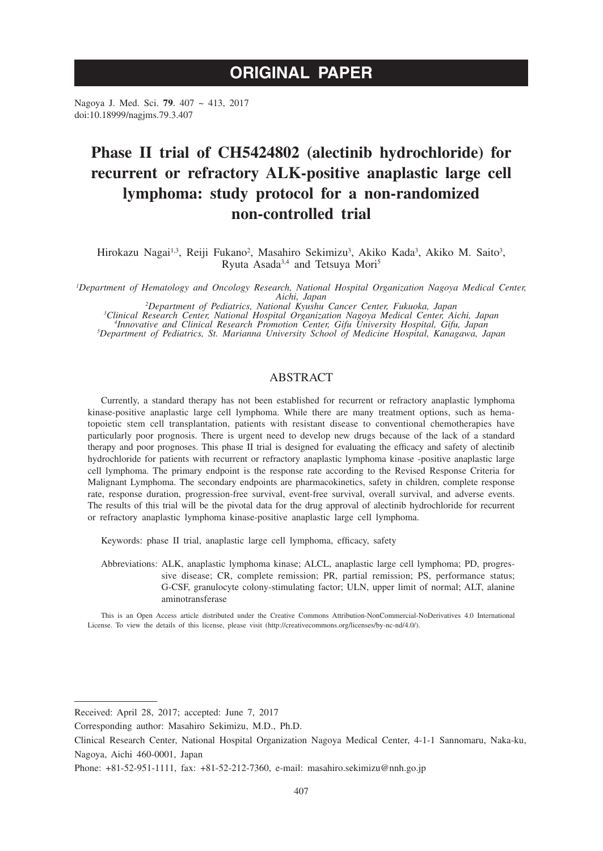# **ORIGINAL PAPER**

Nagoya J. Med. Sci. **79**. 407 ~ 413, 2017 doi:10.18999/nagjms.79.3.407

## **Phase II trial of CH5424802 (alectinib hydrochloride) for recurrent or refractory ALK-positive anaplastic large cell lymphoma: study protocol for a non-randomized non-controlled trial**

Hirokazu Nagai<sup>1,3</sup>, Reiji Fukano<sup>2</sup>, Masahiro Sekimizu<sup>3</sup>, Akiko Kada<sup>3</sup>, Akiko M. Saito<sup>3</sup>, Ryuta Asada3,4 and Tetsuya Mori5

*1 Department of Hematology and Oncology Research, National Hospital Organization Nagoya Medical Center, Aichi, Japan*<br><sup>2</sup>Department of Pediatrics, National Kyushu Cancer Center, Fukuoka, Japan<sup>2</sup>

<sup>2</sup>Department of Pediatrics, National Kyushu Cancer Center, Fukuoka, Japan<br><sup>3</sup>Clinical Research Center, National Hospital Organization Nagoya Medical Center, Nichi, Japan<sup>3</sup><br>11 *Innovative and Clinical Research Promotion C* 

## ABSTRACT

Currently, a standard therapy has not been established for recurrent or refractory anaplastic lymphoma kinase-positive anaplastic large cell lymphoma. While there are many treatment options, such as hematopoietic stem cell transplantation, patients with resistant disease to conventional chemotherapies have particularly poor prognosis. There is urgent need to develop new drugs because of the lack of a standard therapy and poor prognoses. This phase II trial is designed for evaluating the efficacy and safety of alectinib hydrochloride for patients with recurrent or refractory anaplastic lymphoma kinase -positive anaplastic large cell lymphoma. The primary endpoint is the response rate according to the Revised Response Criteria for Malignant Lymphoma. The secondary endpoints are pharmacokinetics, safety in children, complete response rate, response duration, progression-free survival, event-free survival, overall survival, and adverse events. The results of this trial will be the pivotal data for the drug approval of alectinib hydrochloride for recurrent or refractory anaplastic lymphoma kinase-positive anaplastic large cell lymphoma.

Keywords: phase II trial, anaplastic large cell lymphoma, efficacy, safety

Abbreviations: ALK, anaplastic lymphoma kinase; ALCL, anaplastic large cell lymphoma; PD, progressive disease; CR, complete remission; PR, partial remission; PS, performance status; G-CSF, granulocyte colony-stimulating factor; ULN, upper limit of normal; ALT, alanine aminotransferase

This is an Open Access article distributed under the Creative Commons Attribution-NonCommercial-NoDerivatives 4.0 International License. To view the details of this license, please visit (http://creativecommons.org/licenses/by-nc-nd/4.0/).

Received: April 28, 2017; accepted: June 7, 2017

Corresponding author: Masahiro Sekimizu, M.D., Ph.D.

Clinical Research Center, National Hospital Organization Nagoya Medical Center, 4-1-1 Sannomaru, Naka-ku, Nagoya, Aichi 460-0001, Japan

Phone: +81-52-951-1111, fax: +81-52-212-7360, e-mail: masahiro.sekimizu@nnh.go.jp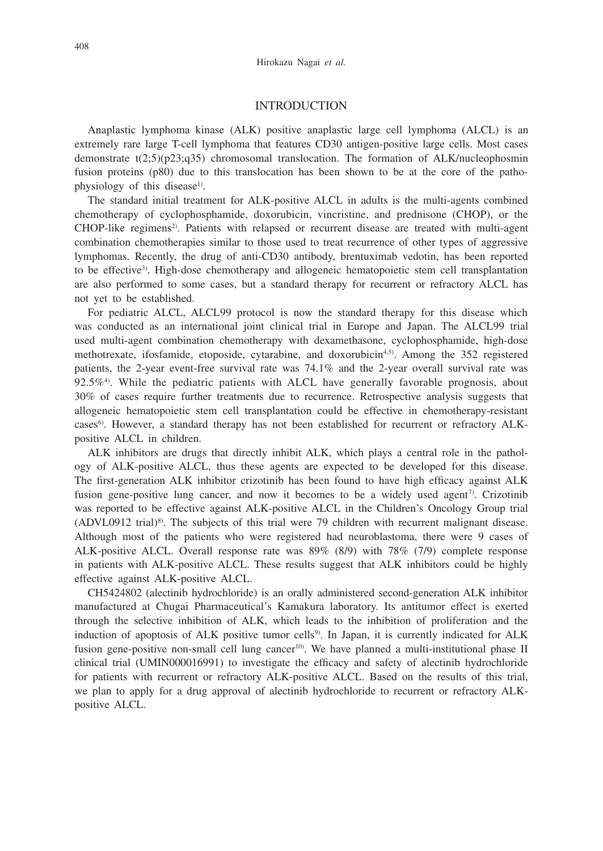### INTRODUCTION

Anaplastic lymphoma kinase (ALK) positive anaplastic large cell lymphoma (ALCL) is an extremely rare large T-cell lymphoma that features CD30 antigen-positive large cells. Most cases demonstrate t(2;5)(p23;q35) chromosomal translocation. The formation of ALK/nucleophosmin fusion proteins (p80) due to this translocation has been shown to be at the core of the pathophysiology of this disease<sup>1)</sup>.

The standard initial treatment for ALK-positive ALCL in adults is the multi-agents combined chemotherapy of cyclophosphamide, doxorubicin, vincristine, and prednisone (CHOP), or the CHOP-like regimens<sup>2</sup>. Patients with relapsed or recurrent disease are treated with multi-agent combination chemotherapies similar to those used to treat recurrence of other types of aggressive lymphomas. Recently, the drug of anti-CD30 antibody, brentuximab vedotin, has been reported to be effective3). High-dose chemotherapy and allogeneic hematopoietic stem cell transplantation are also performed to some cases, but a standard therapy for recurrent or refractory ALCL has not yet to be established.

For pediatric ALCL, ALCL99 protocol is now the standard therapy for this disease which was conducted as an international joint clinical trial in Europe and Japan. The ALCL99 trial used multi-agent combination chemotherapy with dexamethasone, cyclophosphamide, high-dose methotrexate, ifosfamide, etoposide, cytarabine, and doxorubicin<sup>4,5)</sup>. Among the  $352$  registered patients, the 2-year event-free survival rate was 74.1% and the 2-year overall survival rate was  $92.5\%$ <sup>4</sup>. While the pediatric patients with ALCL have generally favorable prognosis, about 30% of cases require further treatments due to recurrence. Retrospective analysis suggests that allogeneic hematopoietic stem cell transplantation could be effective in chemotherapy-resistant cases<sup>6)</sup>. However, a standard therapy has not been established for recurrent or refractory ALKpositive ALCL in children.

ALK inhibitors are drugs that directly inhibit ALK, which plays a central role in the pathology of ALK-positive ALCL, thus these agents are expected to be developed for this disease. The first-generation ALK inhibitor crizotinib has been found to have high efficacy against ALK fusion gene-positive lung cancer, and now it becomes to be a widely used agent<sup>7</sup>. Crizotinib was reported to be effective against ALK-positive ALCL in the Children's Oncology Group trial (ADVL0912 trial)<sup>8)</sup>. The subjects of this trial were 79 children with recurrent malignant disease. Although most of the patients who were registered had neuroblastoma, there were 9 cases of ALK-positive ALCL. Overall response rate was 89% (8/9) with 78% (7/9) complete response in patients with ALK-positive ALCL. These results suggest that ALK inhibitors could be highly effective against ALK-positive ALCL.

CH5424802 (alectinib hydrochloride) is an orally administered second-generation ALK inhibitor manufactured at Chugai Pharmaceutical's Kamakura laboratory. Its antitumor effect is exerted through the selective inhibition of ALK, which leads to the inhibition of proliferation and the induction of apoptosis of ALK positive tumor cells<sup>9)</sup>. In Japan, it is currently indicated for ALK fusion gene-positive non-small cell lung cancer<sup>10</sup>. We have planned a multi-institutional phase II clinical trial (UMIN000016991) to investigate the efficacy and safety of alectinib hydrochloride for patients with recurrent or refractory ALK-positive ALCL. Based on the results of this trial, we plan to apply for a drug approval of alectinib hydrochloride to recurrent or refractory ALKpositive ALCL.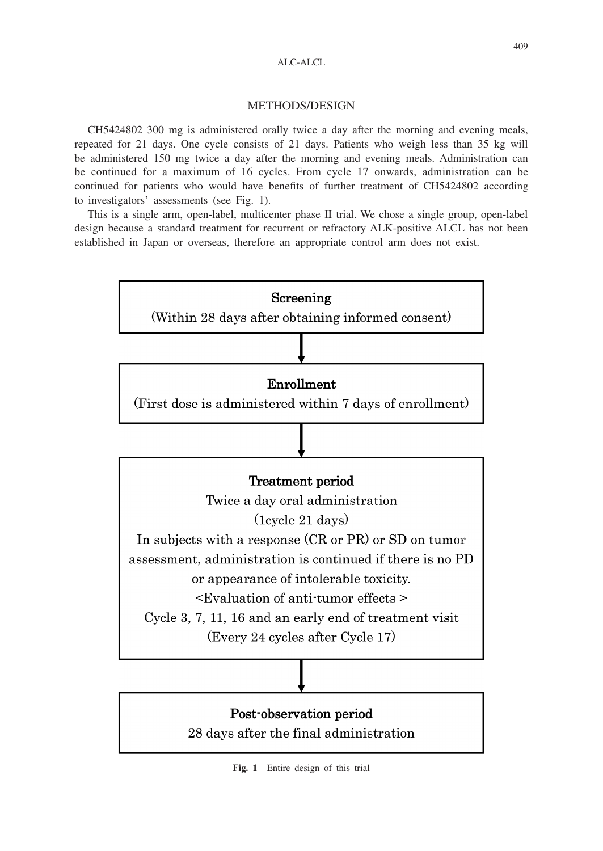#### ALC-ALCL

### METHODS/DESIGN

CH5424802 300 mg is administered orally twice a day after the morning and evening meals, repeated for 21 days. One cycle consists of 21 days. Patients who weigh less than 35 kg will be administered 150 mg twice a day after the morning and evening meals. Administration can be continued for a maximum of 16 cycles. From cycle 17 onwards, administration can be continued for patients who would have benefits of further treatment of CH5424802 according to investigators' assessments (see Fig. 1).

This is a single arm, open-label, multicenter phase II trial. We chose a single group, open-label design because a standard treatment for recurrent or refractory ALK-positive ALCL has not been established in Japan or overseas, therefore an appropriate control arm does not exist.



**Fig. 1** Entire design of this trial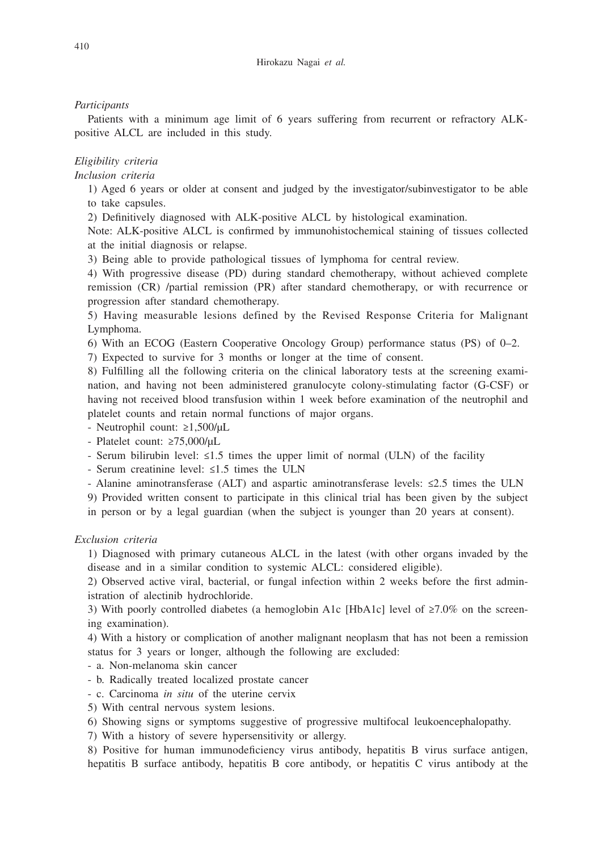## *Participants*

Patients with a minimum age limit of 6 years suffering from recurrent or refractory ALKpositive ALCL are included in this study.

# *Eligibility criteria*

*Inclusion criteria*

1) Aged 6 years or older at consent and judged by the investigator/subinvestigator to be able to take capsules.

2) Definitively diagnosed with ALK-positive ALCL by histological examination.

Note: ALK-positive ALCL is confirmed by immunohistochemical staining of tissues collected at the initial diagnosis or relapse.

3) Being able to provide pathological tissues of lymphoma for central review.

4) With progressive disease (PD) during standard chemotherapy, without achieved complete remission (CR) /partial remission (PR) after standard chemotherapy, or with recurrence or progression after standard chemotherapy.

5) Having measurable lesions defined by the Revised Response Criteria for Malignant Lymphoma.

6) With an ECOG (Eastern Cooperative Oncology Group) performance status (PS) of 0–2.

7) Expected to survive for 3 months or longer at the time of consent.

8) Fulfilling all the following criteria on the clinical laboratory tests at the screening examination, and having not been administered granulocyte colony-stimulating factor (G-CSF) or having not received blood transfusion within 1 week before examination of the neutrophil and platelet counts and retain normal functions of major organs.

- Neutrophil count: ≥1,500/μL

- Platelet count: ≥75,000/μL

- Serum bilirubin level: ≤1.5 times the upper limit of normal (ULN) of the facility

- Serum creatinine level: ≤1.5 times the ULN

- Alanine aminotransferase (ALT) and aspartic aminotransferase levels: ≤2.5 times the ULN

9) Provided written consent to participate in this clinical trial has been given by the subject

in person or by a legal guardian (when the subject is younger than 20 years at consent).

## *Exclusion criteria*

1) Diagnosed with primary cutaneous ALCL in the latest (with other organs invaded by the disease and in a similar condition to systemic ALCL: considered eligible).

2) Observed active viral, bacterial, or fungal infection within 2 weeks before the first administration of alectinib hydrochloride.

3) With poorly controlled diabetes (a hemoglobin A1c [HbA1c] level of ≥7.0% on the screening examination).

4) With a history or complication of another malignant neoplasm that has not been a remission status for 3 years or longer, although the following are excluded:

- a. Non-melanoma skin cancer

- b. Radically treated localized prostate cancer

- c. Carcinoma *in situ* of the uterine cervix

5) With central nervous system lesions.

6) Showing signs or symptoms suggestive of progressive multifocal leukoencephalopathy.

7) With a history of severe hypersensitivity or allergy.

8) Positive for human immunodeficiency virus antibody, hepatitis B virus surface antigen, hepatitis B surface antibody, hepatitis B core antibody, or hepatitis C virus antibody at the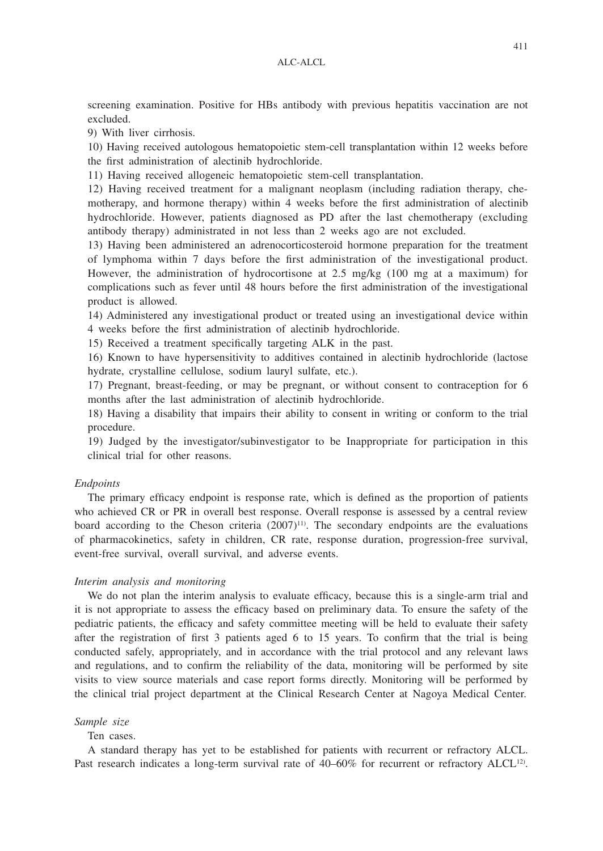screening examination. Positive for HBs antibody with previous hepatitis vaccination are not excluded.

9) With liver cirrhosis.

10) Having received autologous hematopoietic stem-cell transplantation within 12 weeks before the first administration of alectinib hydrochloride.

11) Having received allogeneic hematopoietic stem-cell transplantation.

12) Having received treatment for a malignant neoplasm (including radiation therapy, chemotherapy, and hormone therapy) within 4 weeks before the first administration of alectinib hydrochloride. However, patients diagnosed as PD after the last chemotherapy (excluding antibody therapy) administrated in not less than 2 weeks ago are not excluded.

13) Having been administered an adrenocorticosteroid hormone preparation for the treatment of lymphoma within 7 days before the first administration of the investigational product. However, the administration of hydrocortisone at 2.5 mg/kg (100 mg at a maximum) for complications such as fever until 48 hours before the first administration of the investigational product is allowed.

14) Administered any investigational product or treated using an investigational device within 4 weeks before the first administration of alectinib hydrochloride.

15) Received a treatment specifically targeting ALK in the past.

16) Known to have hypersensitivity to additives contained in alectinib hydrochloride (lactose hydrate, crystalline cellulose, sodium lauryl sulfate, etc.).

17) Pregnant, breast-feeding, or may be pregnant, or without consent to contraception for 6 months after the last administration of alectinib hydrochloride.

18) Having a disability that impairs their ability to consent in writing or conform to the trial procedure.

19) Judged by the investigator/subinvestigator to be Inappropriate for participation in this clinical trial for other reasons.

## *Endpoints*

The primary efficacy endpoint is response rate, which is defined as the proportion of patients who achieved CR or PR in overall best response. Overall response is assessed by a central review board according to the Cheson criteria  $(2007)^{11}$ . The secondary endpoints are the evaluations of pharmacokinetics, safety in children, CR rate, response duration, progression-free survival, event-free survival, overall survival, and adverse events.

#### *Interim analysis and monitoring*

We do not plan the interim analysis to evaluate efficacy, because this is a single-arm trial and it is not appropriate to assess the efficacy based on preliminary data. To ensure the safety of the pediatric patients, the efficacy and safety committee meeting will be held to evaluate their safety after the registration of first 3 patients aged 6 to 15 years. To confirm that the trial is being conducted safely, appropriately, and in accordance with the trial protocol and any relevant laws and regulations, and to confirm the reliability of the data, monitoring will be performed by site visits to view source materials and case report forms directly. Monitoring will be performed by the clinical trial project department at the Clinical Research Center at Nagoya Medical Center.

#### *Sample size*

Ten cases.

A standard therapy has yet to be established for patients with recurrent or refractory ALCL. Past research indicates a long-term survival rate of 40–60% for recurrent or refractory ALCL<sup>12</sup>.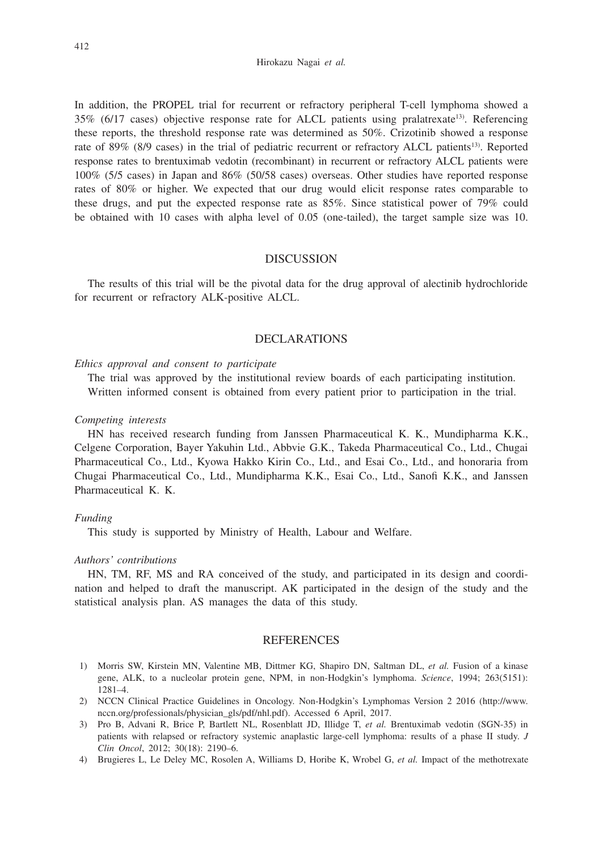In addition, the PROPEL trial for recurrent or refractory peripheral T-cell lymphoma showed a 35% (6/17 cases) objective response rate for ALCL patients using pralatrexate<sup>13)</sup>. Referencing these reports, the threshold response rate was determined as 50%. Crizotinib showed a response rate of 89% (8/9 cases) in the trial of pediatric recurrent or refractory ALCL patients<sup>13)</sup>. Reported response rates to brentuximab vedotin (recombinant) in recurrent or refractory ALCL patients were 100% (5/5 cases) in Japan and 86% (50/58 cases) overseas. Other studies have reported response rates of 80% or higher. We expected that our drug would elicit response rates comparable to these drugs, and put the expected response rate as 85%. Since statistical power of 79% could be obtained with 10 cases with alpha level of 0.05 (one-tailed), the target sample size was 10.

## DISCUSSION

The results of this trial will be the pivotal data for the drug approval of alectinib hydrochloride for recurrent or refractory ALK-positive ALCL.

## DECLARATIONS

### *Ethics approval and consent to participate*

The trial was approved by the institutional review boards of each participating institution. Written informed consent is obtained from every patient prior to participation in the trial.

#### *Competing interests*

HN has received research funding from Janssen Pharmaceutical K. K., Mundipharma K.K., Celgene Corporation, Bayer Yakuhin Ltd., Abbvie G.K., Takeda Pharmaceutical Co., Ltd., Chugai Pharmaceutical Co., Ltd., Kyowa Hakko Kirin Co., Ltd., and Esai Co., Ltd., and honoraria from Chugai Pharmaceutical Co., Ltd., Mundipharma K.K., Esai Co., Ltd., Sanofi K.K., and Janssen Pharmaceutical K. K.

#### *Funding*

This study is supported by Ministry of Health, Labour and Welfare.

#### *Authors' contributions*

HN, TM, RF, MS and RA conceived of the study, and participated in its design and coordination and helped to draft the manuscript. AK participated in the design of the study and the statistical analysis plan. AS manages the data of this study.

#### REFERENCES

- 1) Morris SW, Kirstein MN, Valentine MB, Dittmer KG, Shapiro DN, Saltman DL, *et al.* Fusion of a kinase gene, ALK, to a nucleolar protein gene, NPM, in non-Hodgkin's lymphoma. *Science*, 1994; 263(5151): 1281–4.
- 2) NCCN Clinical Practice Guidelines in Oncology. Non-Hodgkin's Lymphomas Version 2 2016 (http://www. nccn.org/professionals/physician\_gls/pdf/nhl.pdf). Accessed 6 April, 2017.
- 3) Pro B, Advani R, Brice P, Bartlett NL, Rosenblatt JD, Illidge T, *et al.* Brentuximab vedotin (SGN-35) in patients with relapsed or refractory systemic anaplastic large-cell lymphoma: results of a phase II study. *J Clin Oncol*, 2012; 30(18): 2190–6.
- 4) Brugieres L, Le Deley MC, Rosolen A, Williams D, Horibe K, Wrobel G, *et al.* Impact of the methotrexate